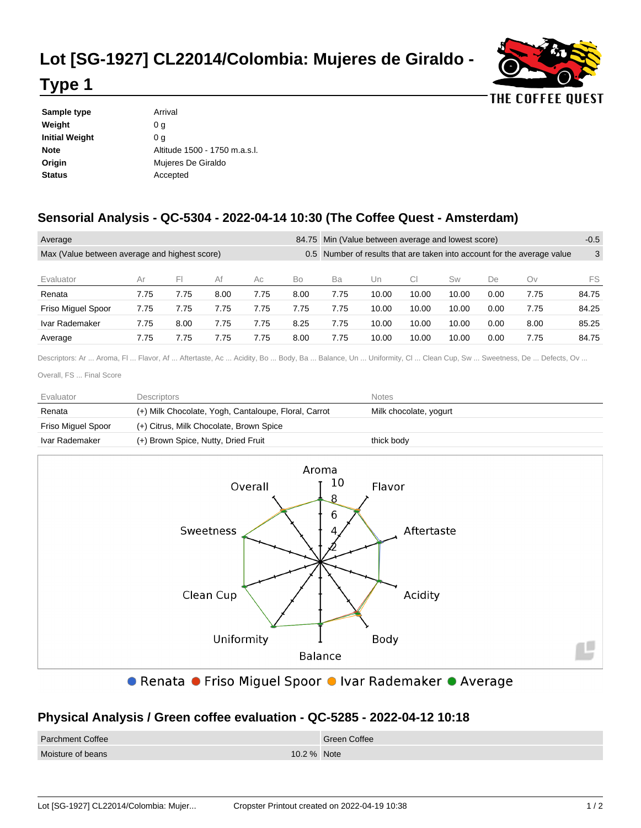## **Lot [SG-1927] CL22014/Colombia: Mujeres de Giraldo -**



## **Type 1**

| Sample type    | Arrival                       |  |
|----------------|-------------------------------|--|
| Weight         | 0 a                           |  |
| Initial Weight | 0 a                           |  |
| Note           | Altitude 1500 - 1750 m.a.s.l. |  |
| Origin         | Mujeres De Giraldo            |  |
| Status         | Accepted                      |  |
|                |                               |  |

## **Sensorial Analysis - QC-5304 - 2022-04-14 10:30 (The Coffee Quest - Amsterdam)**

| Average                                                        |      |      |      |                                                                     | 84.75 Min (Value between average and lowest score) |      |       |       | $-0.5$ |      |      |       |
|----------------------------------------------------------------|------|------|------|---------------------------------------------------------------------|----------------------------------------------------|------|-------|-------|--------|------|------|-------|
| Max (Value between average and highest score)<br>$0.5^{\circ}$ |      |      |      | Number of results that are taken into account for the average value |                                                    |      |       | 3     |        |      |      |       |
|                                                                |      | FI   |      |                                                                     |                                                    |      |       |       |        |      |      |       |
| Evaluator                                                      | Ar   |      | Af   | Ac                                                                  | Bo                                                 | Ba   | Un    | СI    | Sw     | De   | Ov   | FS    |
| Renata                                                         | 7.75 | 7.75 | 8.00 | 7.75                                                                | 8.00                                               | 7.75 | 10.00 | 10.00 | 10.00  | 0.00 | 7.75 | 84.75 |
| <b>Friso Miguel Spoor</b>                                      | 7.75 | 7.75 | 7.75 | 7.75                                                                | 7.75                                               | 7.75 | 10.00 | 10.00 | 10.00  | 0.00 | 7.75 | 84.25 |
| Ivar Rademaker                                                 | 7.75 | 8.00 | 7.75 | 7.75                                                                | 8.25                                               | 7.75 | 10.00 | 10.00 | 10.00  | 0.00 | 8.00 | 85.25 |
| Average                                                        | 7.75 | 7.75 | 7.75 | 7.75                                                                | 8.00                                               | 7.75 | 10.00 | 10.00 | 10.00  | 0.00 | 7.75 | 84.75 |

Descriptors: Ar ... Aroma, Fl ... Flavor, Af ... Aftertaste, Ac ... Acidity, Bo ... Body, Ba ... Balance, Un ... Uniformity, Cl ... Clean Cup, Sw ... Sweetness, De ... Defects, Ov ...

Overall, FS ... Final Score

| Evaluator          | Descriptors                                          | <b>Notes</b>           |
|--------------------|------------------------------------------------------|------------------------|
| Renata             | (+) Milk Chocolate, Yogh, Cantaloupe, Floral, Carrot | Milk chocolate, yogurt |
| Friso Miguel Spoor | (+) Citrus, Milk Chocolate, Brown Spice              |                        |
| Ivar Rademaker     | (+) Brown Spice, Nutty, Dried Fruit                  | thick body             |



● Renata ● Friso Miguel Spoor ● Ivar Rademaker ● Average

## **Physical Analysis / Green coffee evaluation - QC-5285 - 2022-04-12 10:18**

| <b>Parchment Coffee</b> | Green Coffee |
|-------------------------|--------------|
| Moisture of beans       | 10.2 % Note  |